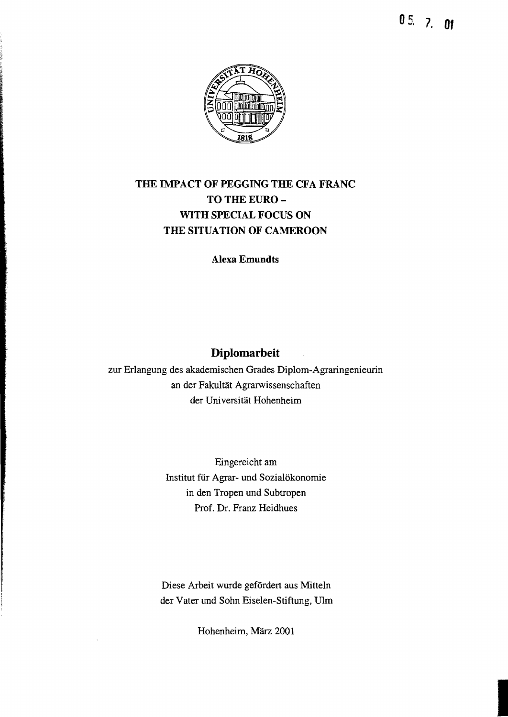05. 7. **01** 



## THE IMPACT OF PEGGING THE CFA FRANC TO THE EURO-WITH SPECIAL FOCUS ON THE SITUATION OF CAMEROON

Alexa Emundts

## Diplomarbeit

zur Erlangung des akademischen Grades Diplom-Agraringenieurin an der Fakultät Agrarwissenschaften der Universität Hohenheim

> Eingereicht am Institut für Agrar- und Sozialökonomie in den Tropen und Subtropen Prof. Dr. Franz Heidhues

Diese Arbeit wurde gefördert aus Mitteln der Vater und Sohn Eiselen-Stiftung, Ulm

Hohenheim, März 2001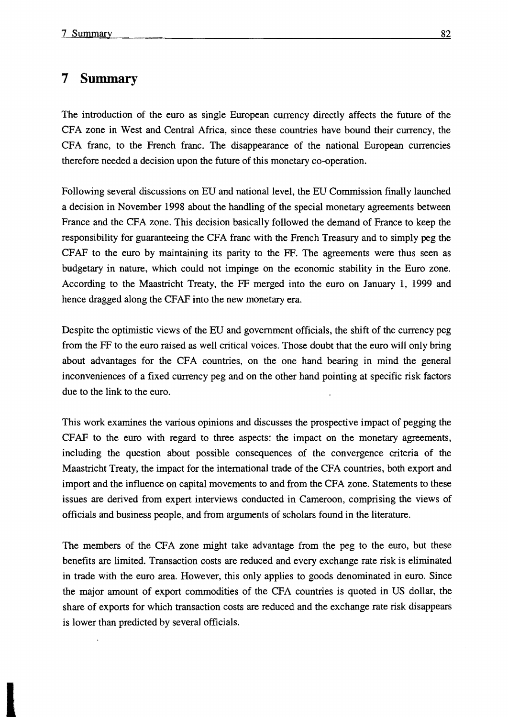## **7 Summary**

The introduction of the euro as single European currency directly affects the future of the CFA zone in West and Central Africa, since these countries have bound their currency, the CFA franc, to the French franc. The disappearance of the national European currencies therefore needed adecision upon the future of this monetary co-operation.

Following several discussions on EU and national level, the EU Commission finally launched adecision in November 1998 about the handling of the special monetary agreements between France and the CFA zone. This decision basically followed the demand of France to keep the responsibility for guaranteeing the CFA franc with the French Treasury and to simply peg the CF AF to the euro by maintaining its parity to the FF. The agreements were thus seen as budgetary in nature, which could not impinge on the economic stability in the Euro zone. According to the Maastricht Treaty, the FF merged into the euro on January 1, 1999 and hence dragged along the CFAF into the new monetary era.

Despite the optimistic views of the EU and government officials, the shift of the currency peg from the FF to the euro raised as weIl critical voices. Those doubt that the euro will only bring about advantages for the CFA countries, on the one hand bearing in mind the general inconveniences of a fixed currency peg and on the other hand pointing at specific risk factors due to the link to the euro.

This work examines the various opinions and discusses the prospective impact of pegging the CFAF to the euro with regard to three aspects: the impact on the monetary agreements, including the question about possible consequences of the convergence criteria of the Maastricht Treaty, the impact for the international trade of the CFA countries, both export and import and the influence on capital movements to and from the CFA zone. Statements to these issues are derived from expert interviews conducted in Cameroon, comprising the views of officials and business people, and from arguments of scholars found in the literature.

The members of the CFA zone might take advantage from the peg to the euro, but these benefits are limited. Transaction costs are reduced and every exchange rate risk is eliminated in trade with the euro area. However, this only applies to goods denominated in euro. Since the major amount of export commodities of the CFA countries is quoted in US dollar, the share of exports for which transaction costs are reduced and the exchange rate risk disappears is lower than predicted by several officials.